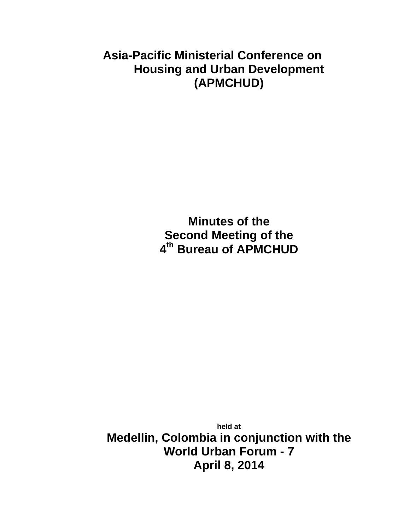# **Asia-Pacific Ministerial Conference on Housing and Urban Development (APMCHUD)**

**Minutes of the Second Meeting of the 4th Bureau of APMCHUD**

**held at Medellin, Colombia in conjunction with the World Urban Forum - 7 April 8, 2014**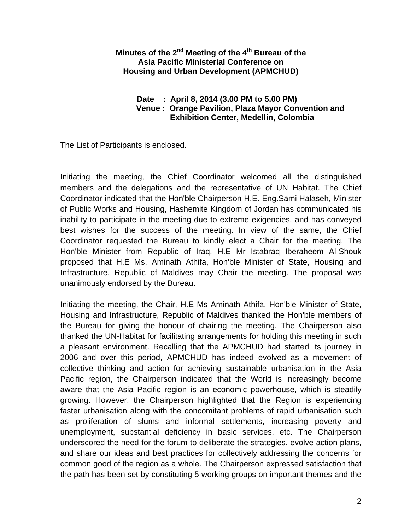### **Minutes of the 2nd Meeting of the 4th Bureau of the Asia Pacific Ministerial Conference on Housing and Urban Development (APMCHUD)**

### **Date : April 8, 2014 (3.00 PM to 5.00 PM) Venue : Orange Pavilion, Plaza Mayor Convention and Exhibition Center, Medellin, Colombia**

The List of Participants is enclosed.

Initiating the meeting, the Chief Coordinator welcomed all the distinguished members and the delegations and the representative of UN Habitat. The Chief Coordinator indicated that the Hon'ble Chairperson H.E. Eng.Sami Halaseh, Minister of Public Works and Housing, Hashemite Kingdom of Jordan has communicated his inability to participate in the meeting due to extreme exigencies, and has conveyed best wishes for the success of the meeting. In view of the same, the Chief Coordinator requested the Bureau to kindly elect a Chair for the meeting. The Hon'ble Minister from Republic of Iraq, H.E Mr Istabraq Iberaheem Al-Shouk proposed that H.E Ms. Aminath Athifa, Hon'ble Minister of State, Housing and Infrastructure, Republic of Maldives may Chair the meeting. The proposal was unanimously endorsed by the Bureau.

Initiating the meeting, the Chair, H.E Ms Aminath Athifa, Hon'ble Minister of State, Housing and Infrastructure, Republic of Maldives thanked the Hon'ble members of the Bureau for giving the honour of chairing the meeting. The Chairperson also thanked the UN-Habitat for facilitating arrangements for holding this meeting in such a pleasant environment. Recalling that the APMCHUD had started its journey in 2006 and over this period, APMCHUD has indeed evolved as a movement of collective thinking and action for achieving sustainable urbanisation in the Asia Pacific region, the Chairperson indicated that the World is increasingly become aware that the Asia Pacific region is an economic powerhouse, which is steadily growing. However, the Chairperson highlighted that the Region is experiencing faster urbanisation along with the concomitant problems of rapid urbanisation such as proliferation of slums and informal settlements, increasing poverty and unemployment, substantial deficiency in basic services, etc. The Chairperson underscored the need for the forum to deliberate the strategies, evolve action plans, and share our ideas and best practices for collectively addressing the concerns for common good of the region as a whole. The Chairperson expressed satisfaction that the path has been set by constituting 5 working groups on important themes and the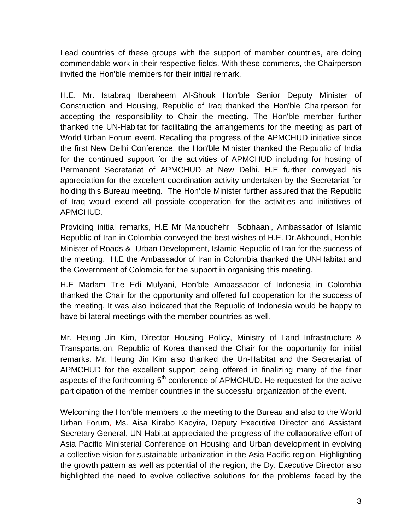Lead countries of these groups with the support of member countries, are doing commendable work in their respective fields. With these comments, the Chairperson invited the Hon'ble members for their initial remark.

H.E. Mr. Istabraq Iberaheem Al-Shouk Hon'ble Senior Deputy Minister of Construction and Housing, Republic of Iraq thanked the Hon'ble Chairperson for accepting the responsibility to Chair the meeting. The Hon'ble member further thanked the UN-Habitat for facilitating the arrangements for the meeting as part of World Urban Forum event. Recalling the progress of the APMCHUD initiative since the first New Delhi Conference, the Hon'ble Minister thanked the Republic of India for the continued support for the activities of APMCHUD including for hosting of Permanent Secretariat of APMCHUD at New Delhi. H.E further conveyed his appreciation for the excellent coordination activity undertaken by the Secretariat for holding this Bureau meeting. The Hon'ble Minister further assured that the Republic of Iraq would extend all possible cooperation for the activities and initiatives of APMCHUD.

Providing initial remarks, H.E Mr Manouchehr Sobhaani, Ambassador of Islamic Republic of Iran in Colombia conveyed the best wishes of H.E. Dr.Akhoundi, Hon'ble Minister of Roads & Urban Development, Islamic Republic of Iran for the success of the meeting. H.E the Ambassador of Iran in Colombia thanked the UN-Habitat and the Government of Colombia for the support in organising this meeting.

H.E Madam Trie Edi Mulyani, Hon'ble Ambassador of Indonesia in Colombia thanked the Chair for the opportunity and offered full cooperation for the success of the meeting. It was also indicated that the Republic of Indonesia would be happy to have bi-lateral meetings with the member countries as well.

Mr. Heung Jin Kim, Director Housing Policy, Ministry of Land Infrastructure & Transportation, Republic of Korea thanked the Chair for the opportunity for initial remarks. Mr. Heung Jin Kim also thanked the Un-Habitat and the Secretariat of APMCHUD for the excellent support being offered in finalizing many of the finer aspects of the forthcoming  $5<sup>th</sup>$  conference of APMCHUD. He requested for the active participation of the member countries in the successful organization of the event.

Welcoming the Hon'ble members to the meeting to the Bureau and also to the World Urban Forum, Ms. Aisa Kirabo Kacyira, Deputy Executive Director and Assistant Secretary General, UN-Habitat appreciated the progress of the collaborative effort of Asia Pacific Ministerial Conference on Housing and Urban development in evolving a collective vision for sustainable urbanization in the Asia Pacific region. Highlighting the growth pattern as well as potential of the region, the Dy. Executive Director also highlighted the need to evolve collective solutions for the problems faced by the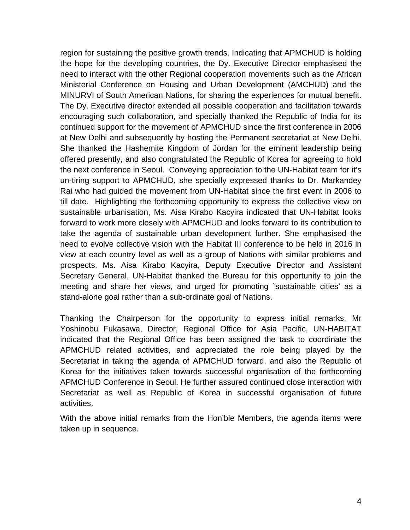region for sustaining the positive growth trends. Indicating that APMCHUD is holding the hope for the developing countries, the Dy. Executive Director emphasised the need to interact with the other Regional cooperation movements such as the African Ministerial Conference on Housing and Urban Development (AMCHUD) and the MINURVI of South American Nations, for sharing the experiences for mutual benefit. The Dy. Executive director extended all possible cooperation and facilitation towards encouraging such collaboration, and specially thanked the Republic of India for its continued support for the movement of APMCHUD since the first conference in 2006 at New Delhi and subsequently by hosting the Permanent secretariat at New Delhi. She thanked the Hashemite Kingdom of Jordan for the eminent leadership being offered presently, and also congratulated the Republic of Korea for agreeing to hold the next conference in Seoul. Conveying appreciation to the UN-Habitat team for it's un-tiring support to APMCHUD, she specially expressed thanks to Dr. Markandey Rai who had guided the movement from UN-Habitat since the first event in 2006 to till date. Highlighting the forthcoming opportunity to express the collective view on sustainable urbanisation, Ms. Aisa Kirabo Kacyira indicated that UN-Habitat looks forward to work more closely with APMCHUD and looks forward to its contribution to take the agenda of sustainable urban development further. She emphasised the need to evolve collective vision with the Habitat III conference to be held in 2016 in view at each country level as well as a group of Nations with similar problems and prospects. Ms. Aisa Kirabo Kacyira, Deputy Executive Director and Assistant Secretary General, UN-Habitat thanked the Bureau for this opportunity to join the meeting and share her views, and urged for promoting `sustainable cities' as a stand-alone goal rather than a sub-ordinate goal of Nations.

Thanking the Chairperson for the opportunity to express initial remarks, Mr Yoshinobu Fukasawa, Director, Regional Office for Asia Pacific, UN-HABITAT indicated that the Regional Office has been assigned the task to coordinate the APMCHUD related activities, and appreciated the role being played by the Secretariat in taking the agenda of APMCHUD forward, and also the Republic of Korea for the initiatives taken towards successful organisation of the forthcoming APMCHUD Conference in Seoul. He further assured continued close interaction with Secretariat as well as Republic of Korea in successful organisation of future activities.

With the above initial remarks from the Hon'ble Members, the agenda items were taken up in sequence.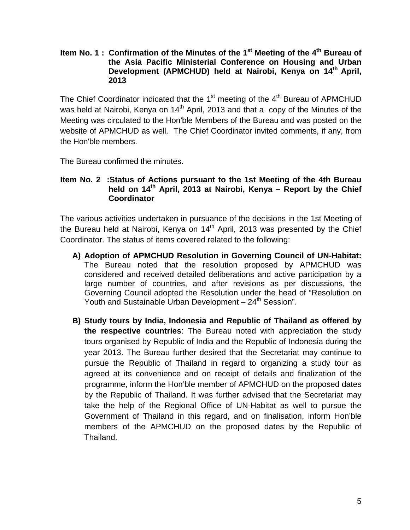#### **Item No. 1 : Confirmation of the Minutes of the 1<sup>st</sup> Meeting of the 4<sup>th</sup> Bureau of the Asia Pacific Ministerial Conference on Housing and Urban Development (APMCHUD) held at Nairobi, Kenya on 14th April, 2013**

The Chief Coordinator indicated that the  $1<sup>st</sup>$  meeting of the  $4<sup>th</sup>$  Bureau of APMCHUD was held at Nairobi, Kenya on  $14<sup>th</sup>$  April, 2013 and that a copy of the Minutes of the Meeting was circulated to the Hon'ble Members of the Bureau and was posted on the website of APMCHUD as well. The Chief Coordinator invited comments, if any, from the Hon'ble members.

The Bureau confirmed the minutes.

### **Item No. 2 :Status of Actions pursuant to the 1st Meeting of the 4th Bureau** held on 14<sup>th</sup> April, 2013 at Nairobi, Kenya – Report by the Chief **Coordinator**

The various activities undertaken in pursuance of the decisions in the 1st Meeting of the Bureau held at Nairobi, Kenya on  $14<sup>th</sup>$  April, 2013 was presented by the Chief Coordinator. The status of items covered related to the following:

- **A) Adoption of APMCHUD Resolution in Governing Council of UN-Habitat:**  The Bureau noted that the resolution proposed by APMCHUD was considered and received detailed deliberations and active participation by a large number of countries, and after revisions as per discussions, the Governing Council adopted the Resolution under the head of "Resolution on Youth and Sustainable Urban Development - 24<sup>th</sup> Session".
- **B) Study tours by India, Indonesia and Republic of Thailand as offered by the respective countries**: The Bureau noted with appreciation the study tours organised by Republic of India and the Republic of Indonesia during the year 2013. The Bureau further desired that the Secretariat may continue to pursue the Republic of Thailand in regard to organizing a study tour as agreed at its convenience and on receipt of details and finalization of the programme, inform the Hon'ble member of APMCHUD on the proposed dates by the Republic of Thailand. It was further advised that the Secretariat may take the help of the Regional Office of UN-Habitat as well to pursue the Government of Thailand in this regard, and on finalisation, inform Hon'ble members of the APMCHUD on the proposed dates by the Republic of Thailand.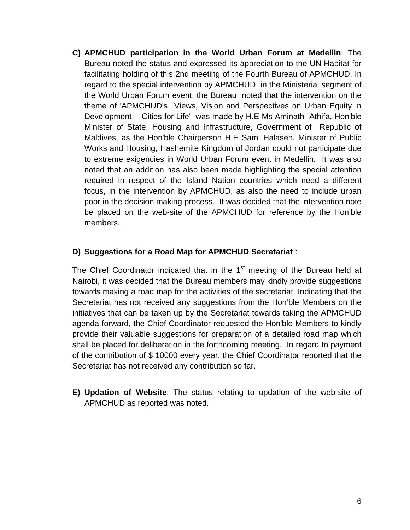**C) APMCHUD participation in the World Urban Forum at Medellin**: The Bureau noted the status and expressed its appreciation to the UN-Habitat for facilitating holding of this 2nd meeting of the Fourth Bureau of APMCHUD. In regard to the special intervention by APMCHUD in the Ministerial segment of the World Urban Forum event, the Bureau noted that the intervention on the theme of 'APMCHUD's Views, Vision and Perspectives on Urban Equity in Development - Cities for Life' was made by H.E Ms Aminath Athifa, Hon'ble Minister of State, Housing and Infrastructure, Government of Republic of Maldives, as the Hon'ble Chairperson H.E Sami Halaseh, Minister of Public Works and Housing, Hashemite Kingdom of Jordan could not participate due to extreme exigencies in World Urban Forum event in Medellin. It was also noted that an addition has also been made highlighting the special attention required in respect of the Island Nation countries which need a different focus, in the intervention by APMCHUD, as also the need to include urban poor in the decision making process. It was decided that the intervention note be placed on the web-site of the APMCHUD for reference by the Hon'ble members.

### **D) Suggestions for a Road Map for APMCHUD Secretariat** :

The Chief Coordinator indicated that in the  $1<sup>st</sup>$  meeting of the Bureau held at Nairobi, it was decided that the Bureau members may kindly provide suggestions towards making a road map for the activities of the secretariat. Indicating that the Secretariat has not received any suggestions from the Hon'ble Members on the initiatives that can be taken up by the Secretariat towards taking the APMCHUD agenda forward, the Chief Coordinator requested the Hon'ble Members to kindly provide their valuable suggestions for preparation of a detailed road map which shall be placed for deliberation in the forthcoming meeting. In regard to payment of the contribution of \$ 10000 every year, the Chief Coordinator reported that the Secretariat has not received any contribution so far.

**E) Updation of Website**: The status relating to updation of the web-site of APMCHUD as reported was noted.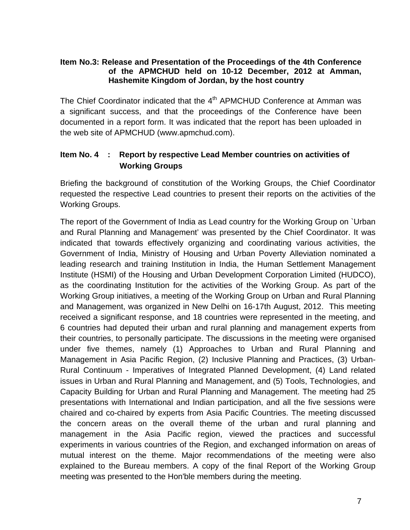### **Item No.3: Release and Presentation of the Proceedings of the 4th Conference of the APMCHUD held on 10-12 December, 2012 at Amman, Hashemite Kingdom of Jordan, by the host country**

The Chief Coordinator indicated that the  $4<sup>th</sup>$  APMCHUD Conference at Amman was a significant success, and that the proceedings of the Conference have been documented in a report form. It was indicated that the report has been uploaded in the web site of APMCHUD (www.apmchud.com).

# **Item No. 4 : Report by respective Lead Member countries on activities of Working Groups**

Briefing the background of constitution of the Working Groups, the Chief Coordinator requested the respective Lead countries to present their reports on the activities of the Working Groups.

The report of the Government of India as Lead country for the Working Group on `Urban and Rural Planning and Management' was presented by the Chief Coordinator. It was indicated that towards effectively organizing and coordinating various activities, the Government of India, Ministry of Housing and Urban Poverty Alleviation nominated a leading research and training Institution in India, the Human Settlement Management Institute (HSMI) of the Housing and Urban Development Corporation Limited (HUDCO), as the coordinating Institution for the activities of the Working Group. As part of the Working Group initiatives, a meeting of the Working Group on Urban and Rural Planning and Management, was organized in New Delhi on 16-17th August, 2012. This meeting received a significant response, and 18 countries were represented in the meeting, and 6 countries had deputed their urban and rural planning and management experts from their countries, to personally participate. The discussions in the meeting were organised under five themes, namely (1) Approaches to Urban and Rural Planning and Management in Asia Pacific Region, (2) Inclusive Planning and Practices, (3) Urban-Rural Continuum - Imperatives of Integrated Planned Development, (4) Land related issues in Urban and Rural Planning and Management, and (5) Tools, Technologies, and Capacity Building for Urban and Rural Planning and Management. The meeting had 25 presentations with International and Indian participation, and all the five sessions were chaired and co-chaired by experts from Asia Pacific Countries. The meeting discussed the concern areas on the overall theme of the urban and rural planning and management in the Asia Pacific region, viewed the practices and successful experiments in various countries of the Region, and exchanged information on areas of mutual interest on the theme. Major recommendations of the meeting were also explained to the Bureau members. A copy of the final Report of the Working Group meeting was presented to the Hon'ble members during the meeting.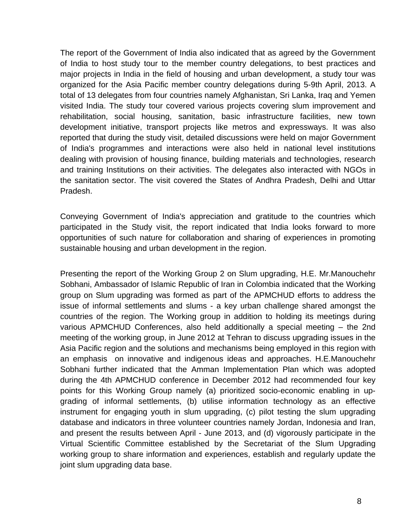The report of the Government of India also indicated that as agreed by the Government of India to host study tour to the member country delegations, to best practices and major projects in India in the field of housing and urban development, a study tour was organized for the Asia Pacific member country delegations during 5-9th April, 2013. A total of 13 delegates from four countries namely Afghanistan, Sri Lanka, Iraq and Yemen visited India. The study tour covered various projects covering slum improvement and rehabilitation, social housing, sanitation, basic infrastructure facilities, new town development initiative, transport projects like metros and expressways. It was also reported that during the study visit, detailed discussions were held on major Government of India's programmes and interactions were also held in national level institutions dealing with provision of housing finance, building materials and technologies, research and training Institutions on their activities. The delegates also interacted with NGOs in the sanitation sector. The visit covered the States of Andhra Pradesh, Delhi and Uttar Pradesh.

Conveying Government of India's appreciation and gratitude to the countries which participated in the Study visit, the report indicated that India looks forward to more opportunities of such nature for collaboration and sharing of experiences in promoting sustainable housing and urban development in the region.

Presenting the report of the Working Group 2 on Slum upgrading, H.E. Mr.Manouchehr Sobhani, Ambassador of Islamic Republic of Iran in Colombia indicated that the Working group on Slum upgrading was formed as part of the APMCHUD efforts to address the issue of informal settlements and slums - a key urban challenge shared amongst the countries of the region. The Working group in addition to holding its meetings during various APMCHUD Conferences, also held additionally a special meeting – the 2nd meeting of the working group, in June 2012 at Tehran to discuss upgrading issues in the Asia Pacific region and the solutions and mechanisms being employed in this region with an emphasis on innovative and indigenous ideas and approaches. H.E.Manouchehr Sobhani further indicated that the Amman Implementation Plan which was adopted during the 4th APMCHUD conference in December 2012 had recommended four key points for this Working Group namely (a) prioritized socio-economic enabling in upgrading of informal settlements, (b) utilise information technology as an effective instrument for engaging youth in slum upgrading, (c) pilot testing the slum upgrading database and indicators in three volunteer countries namely Jordan, Indonesia and Iran, and present the results between April - June 2013, and (d) vigorously participate in the Virtual Scientific Committee established by the Secretariat of the Slum Upgrading working group to share information and experiences, establish and regularly update the joint slum upgrading data base.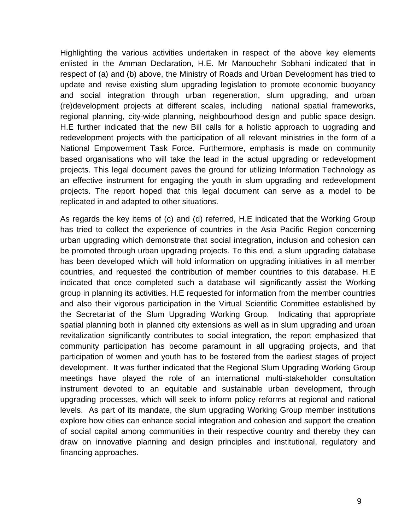Highlighting the various activities undertaken in respect of the above key elements enlisted in the Amman Declaration, H.E. Mr Manouchehr Sobhani indicated that in respect of (a) and (b) above, the Ministry of Roads and Urban Development has tried to update and revise existing slum upgrading legislation to promote economic buoyancy and social integration through urban regeneration, slum upgrading, and urban (re)development projects at different scales, including national spatial frameworks, regional planning, city-wide planning, neighbourhood design and public space design. H.E further indicated that the new Bill calls for a holistic approach to upgrading and redevelopment projects with the participation of all relevant ministries in the form of a National Empowerment Task Force. Furthermore, emphasis is made on community based organisations who will take the lead in the actual upgrading or redevelopment projects. This legal document paves the ground for utilizing Information Technology as an effective instrument for engaging the youth in slum upgrading and redevelopment projects. The report hoped that this legal document can serve as a model to be replicated in and adapted to other situations.

As regards the key items of (c) and (d) referred, H.E indicated that the Working Group has tried to collect the experience of countries in the Asia Pacific Region concerning urban upgrading which demonstrate that social integration, inclusion and cohesion can be promoted through urban upgrading projects. To this end, a slum upgrading database has been developed which will hold information on upgrading initiatives in all member countries, and requested the contribution of member countries to this database. H.E indicated that once completed such a database will significantly assist the Working group in planning its activities. H.E requested for information from the member countries and also their vigorous participation in the Virtual Scientific Committee established by the Secretariat of the Slum Upgrading Working Group. Indicating that appropriate spatial planning both in planned city extensions as well as in slum upgrading and urban revitalization significantly contributes to social integration, the report emphasized that community participation has become paramount in all upgrading projects, and that participation of women and youth has to be fostered from the earliest stages of project development. It was further indicated that the Regional Slum Upgrading Working Group meetings have played the role of an international multi-stakeholder consultation instrument devoted to an equitable and sustainable urban development, through upgrading processes, which will seek to inform policy reforms at regional and national levels. As part of its mandate, the slum upgrading Working Group member institutions explore how cities can enhance social integration and cohesion and support the creation of social capital among communities in their respective country and thereby they can draw on innovative planning and design principles and institutional, regulatory and financing approaches.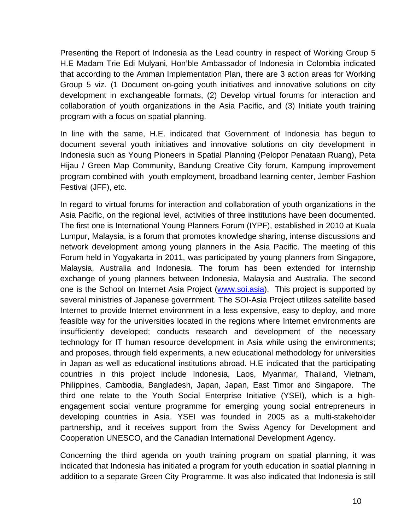Presenting the Report of Indonesia as the Lead country in respect of Working Group 5 H.E Madam Trie Edi Mulyani, Hon'ble Ambassador of Indonesia in Colombia indicated that according to the Amman Implementation Plan, there are 3 action areas for Working Group 5 viz. (1 Document on-going youth initiatives and innovative solutions on city development in exchangeable formats, (2) Develop virtual forums for interaction and collaboration of youth organizations in the Asia Pacific, and (3) Initiate youth training program with a focus on spatial planning.

In line with the same, H.E. indicated that Government of Indonesia has begun to document several youth initiatives and innovative solutions on city development in Indonesia such as Young Pioneers in Spatial Planning (Pelopor Penataan Ruang), Peta Hijau / Green Map Community, Bandung Creative City forum, Kampung improvement program combined with youth employment, broadband learning center, Jember Fashion Festival (JFF), etc.

In regard to virtual forums for interaction and collaboration of youth organizations in the Asia Pacific, on the regional level, activities of three institutions have been documented. The first one is International Young Planners Forum (IYPF), established in 2010 at Kuala Lumpur, Malaysia, is a forum that promotes knowledge sharing, intense discussions and network development among young planners in the Asia Pacific. The meeting of this Forum held in Yogyakarta in 2011, was participated by young planners from Singapore, Malaysia, Australia and Indonesia. The forum has been extended for internship exchange of young planners between Indonesia, Malaysia and Australia. The second one is the School on Internet Asia Project ([www.soi.asia\)](http://www.soi.asia/). This project is supported by several ministries of Japanese government. The SOI-Asia Project utilizes satellite based Internet to provide Internet environment in a less expensive, easy to deploy, and more feasible way for the universities located in the regions where Internet environments are insufficiently developed; conducts research and development of the necessary technology for IT human resource development in Asia while using the environments; and proposes, through field experiments, a new educational methodology for universities in Japan as well as educational institutions abroad. H.E indicated that the participating countries in this project include Indonesia, Laos, Myanmar, Thailand, Vietnam, Philippines, Cambodia, Bangladesh, Japan, Japan, East Timor and Singapore. The third one relate to the Youth Social Enterprise Initiative (YSEI), which is a highengagement social venture programme for emerging young social entrepreneurs in developing countries in Asia. YSEI was founded in 2005 as a multi-stakeholder partnership, and it receives support from the Swiss Agency for Development and Cooperation UNESCO, and the Canadian International Development Agency.

Concerning the third agenda on youth training program on spatial planning, it was indicated that Indonesia has initiated a program for youth education in spatial planning in addition to a separate Green City Programme. It was also indicated that Indonesia is still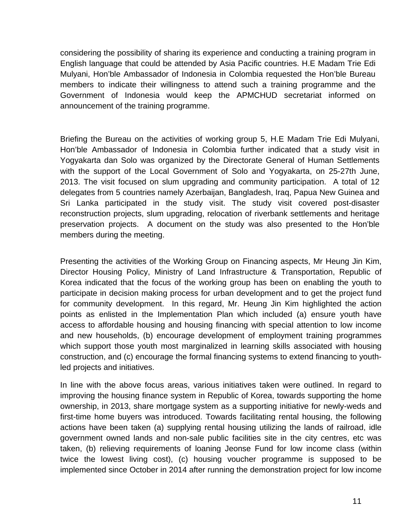considering the possibility of sharing its experience and conducting a training program in English language that could be attended by Asia Pacific countries. H.E Madam Trie Edi Mulyani, Hon'ble Ambassador of Indonesia in Colombia requested the Hon'ble Bureau members to indicate their willingness to attend such a training programme and the Government of Indonesia would keep the APMCHUD secretariat informed on announcement of the training programme.

Briefing the Bureau on the activities of working group 5, H.E Madam Trie Edi Mulyani, Hon'ble Ambassador of Indonesia in Colombia further indicated that a study visit in Yogyakarta dan Solo was organized by the Directorate General of Human Settlements with the support of the Local Government of Solo and Yogyakarta, on 25-27th June, 2013. The visit focused on slum upgrading and community participation. A total of 12 delegates from 5 countries namely Azerbaijan, Bangladesh, Iraq, Papua New Guinea and Sri Lanka participated in the study visit. The study visit covered post-disaster reconstruction projects, slum upgrading, relocation of riverbank settlements and heritage preservation projects. A document on the study was also presented to the Hon'ble members during the meeting.

Presenting the activities of the Working Group on Financing aspects, Mr Heung Jin Kim, Director Housing Policy, Ministry of Land Infrastructure & Transportation, Republic of Korea indicated that the focus of the working group has been on enabling the youth to participate in decision making process for urban development and to get the project fund for community development. In this regard, Mr. Heung Jin Kim highlighted the action points as enlisted in the Implementation Plan which included (a) ensure youth have access to affordable housing and housing financing with special attention to low income and new households, (b) encourage development of employment training programmes which support those youth most marginalized in learning skills associated with housing construction, and (c) encourage the formal financing systems to extend financing to youthled projects and initiatives.

In line with the above focus areas, various initiatives taken were outlined. In regard to improving the housing finance system in Republic of Korea, towards supporting the home ownership, in 2013, share mortgage system as a supporting initiative for newly-weds and first-time home buyers was introduced. Towards facilitating rental housing, the following actions have been taken (a) supplying rental housing utilizing the lands of railroad, idle government owned lands and non-sale public facilities site in the city centres, etc was taken, (b) relieving requirements of loaning Jeonse Fund for low income class (within twice the lowest living cost), (c) housing voucher programme is supposed to be implemented since October in 2014 after running the demonstration project for low income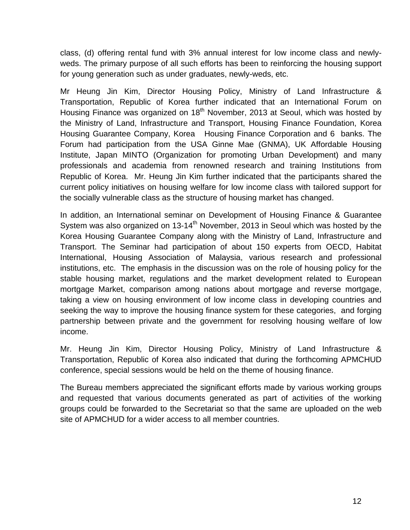class, (d) offering rental fund with 3% annual interest for low income class and newlyweds. The primary purpose of all such efforts has been to reinforcing the housing support for young generation such as under graduates, newly-weds, etc.

Mr Heung Jin Kim, Director Housing Policy, Ministry of Land Infrastructure & Transportation, Republic of Korea further indicated that an International Forum on Housing Finance was organized on 18<sup>th</sup> November, 2013 at Seoul, which was hosted by the Ministry of Land, Infrastructure and Transport, Housing Finance Foundation, Korea Housing Guarantee Company, Korea Housing Finance Corporation and 6 banks. The Forum had participation from the USA Ginne Mae (GNMA), UK Affordable Housing Institute, Japan MINTO (Organization for promoting Urban Development) and many professionals and academia from renowned research and training Institutions from Republic of Korea. Mr. Heung Jin Kim further indicated that the participants shared the current policy initiatives on housing welfare for low income class with tailored support for the socially vulnerable class as the structure of housing market has changed.

In addition, an International seminar on Development of Housing Finance & Guarantee System was also organized on 13-14<sup>th</sup> November, 2013 in Seoul which was hosted by the Korea Housing Guarantee Company along with the Ministry of Land, Infrastructure and Transport. The Seminar had participation of about 150 experts from OECD, Habitat International, Housing Association of Malaysia, various research and professional institutions, etc. The emphasis in the discussion was on the role of housing policy for the stable housing market, regulations and the market development related to European mortgage Market, comparison among nations about mortgage and reverse mortgage, taking a view on housing environment of low income class in developing countries and seeking the way to improve the housing finance system for these categories, and forging partnership between private and the government for resolving housing welfare of low income.

Mr. Heung Jin Kim, Director Housing Policy, Ministry of Land Infrastructure & Transportation, Republic of Korea also indicated that during the forthcoming APMCHUD conference, special sessions would be held on the theme of housing finance.

The Bureau members appreciated the significant efforts made by various working groups and requested that various documents generated as part of activities of the working groups could be forwarded to the Secretariat so that the same are uploaded on the web site of APMCHUD for a wider access to all member countries.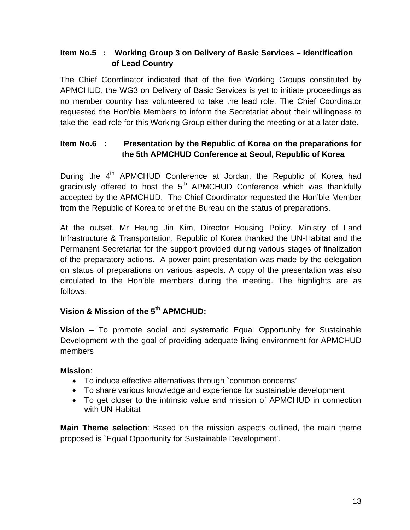# **Item No.5 : Working Group 3 on Delivery of Basic Services – Identification of Lead Country**

The Chief Coordinator indicated that of the five Working Groups constituted by APMCHUD, the WG3 on Delivery of Basic Services is yet to initiate proceedings as no member country has volunteered to take the lead role. The Chief Coordinator requested the Hon'ble Members to inform the Secretariat about their willingness to take the lead role for this Working Group either during the meeting or at a later date.

# **Item No.6 : Presentation by the Republic of Korea on the preparations for the 5th APMCHUD Conference at Seoul, Republic of Korea**

During the 4<sup>th</sup> APMCHUD Conference at Jordan, the Republic of Korea had graciously offered to host the  $5<sup>th</sup>$  APMCHUD Conference which was thankfully accepted by the APMCHUD. The Chief Coordinator requested the Hon'ble Member from the Republic of Korea to brief the Bureau on the status of preparations.

At the outset, Mr Heung Jin Kim, Director Housing Policy, Ministry of Land Infrastructure & Transportation, Republic of Korea thanked the UN-Habitat and the Permanent Secretariat for the support provided during various stages of finalization of the preparatory actions. A power point presentation was made by the delegation on status of preparations on various aspects. A copy of the presentation was also circulated to the Hon'ble members during the meeting. The highlights are as follows:

# **Vision & Mission of the 5th APMCHUD:**

**Vision** – To promote social and systematic Equal Opportunity for Sustainable Development with the goal of providing adequate living environment for APMCHUD members

### **Mission**:

- To induce effective alternatives through `common concerns'
- To share various knowledge and experience for sustainable development
- To get closer to the intrinsic value and mission of APMCHUD in connection with UN-Habitat

**Main Theme selection**: Based on the mission aspects outlined, the main theme proposed is `Equal Opportunity for Sustainable Development'.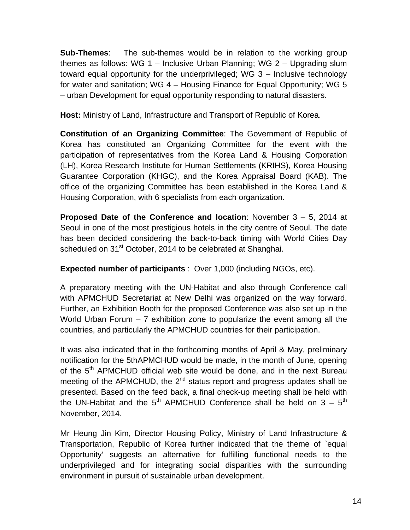**Sub-Themes**: The sub-themes would be in relation to the working group themes as follows: WG 1 – Inclusive Urban Planning; WG 2 – Upgrading slum toward equal opportunity for the underprivileged; WG 3 – Inclusive technology for water and sanitation; WG 4 – Housing Finance for Equal Opportunity; WG 5 – urban Development for equal opportunity responding to natural disasters.

**Host:** Ministry of Land, Infrastructure and Transport of Republic of Korea.

**Constitution of an Organizing Committee**: The Government of Republic of Korea has constituted an Organizing Committee for the event with the participation of representatives from the Korea Land & Housing Corporation (LH), Korea Research Institute for Human Settlements (KRIHS), Korea Housing Guarantee Corporation (KHGC), and the Korea Appraisal Board (KAB). The office of the organizing Committee has been established in the Korea Land & Housing Corporation, with 6 specialists from each organization.

**Proposed Date of the Conference and location**: November 3 – 5, 2014 at Seoul in one of the most prestigious hotels in the city centre of Seoul. The date has been decided considering the back-to-back timing with World Cities Day scheduled on 31<sup>st</sup> October, 2014 to be celebrated at Shanghai.

**Expected number of participants** : Over 1,000 (including NGOs, etc).

A preparatory meeting with the UN-Habitat and also through Conference call with APMCHUD Secretariat at New Delhi was organized on the way forward. Further, an Exhibition Booth for the proposed Conference was also set up in the World Urban Forum – 7 exhibition zone to popularize the event among all the countries, and particularly the APMCHUD countries for their participation.

It was also indicated that in the forthcoming months of April & May, preliminary notification for the 5thAPMCHUD would be made, in the month of June, opening of the 5<sup>th</sup> APMCHUD official web site would be done, and in the next Bureau meeting of the APMCHUD, the  $2^{nd}$  status report and progress updates shall be presented. Based on the feed back, a final check-up meeting shall be held with the UN-Habitat and the  $5<sup>th</sup>$  APMCHUD Conference shall be held on 3 –  $5<sup>th</sup>$ November, 2014.

Mr Heung Jin Kim, Director Housing Policy, Ministry of Land Infrastructure & Transportation, Republic of Korea further indicated that the theme of `equal Opportunity' suggests an alternative for fulfilling functional needs to the underprivileged and for integrating social disparities with the surrounding environment in pursuit of sustainable urban development.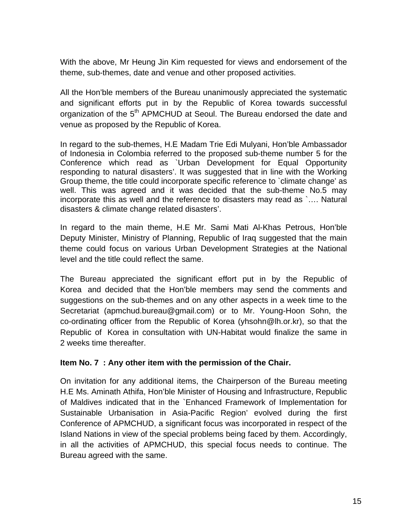With the above, Mr Heung Jin Kim requested for views and endorsement of the theme, sub-themes, date and venue and other proposed activities.

All the Hon'ble members of the Bureau unanimously appreciated the systematic and significant efforts put in by the Republic of Korea towards successful organization of the 5<sup>th</sup> APMCHUD at Seoul. The Bureau endorsed the date and venue as proposed by the Republic of Korea.

In regard to the sub-themes, H.E Madam Trie Edi Mulyani, Hon'ble Ambassador of Indonesia in Colombia referred to the proposed sub-theme number 5 for the Conference which read as `Urban Development for Equal Opportunity responding to natural disasters'. It was suggested that in line with the Working Group theme, the title could incorporate specific reference to `climate change' as well. This was agreed and it was decided that the sub-theme No.5 may incorporate this as well and the reference to disasters may read as `…. Natural disasters & climate change related disasters'.

In regard to the main theme, H.E Mr. Sami Mati Al-Khas Petrous, Hon'ble Deputy Minister, Ministry of Planning, Republic of Iraq suggested that the main theme could focus on various Urban Development Strategies at the National level and the title could reflect the same.

The Bureau appreciated the significant effort put in by the Republic of Korea and decided that the Hon'ble members may send the comments and suggestions on the sub-themes and on any other aspects in a week time to the Secretariat [\(apmchud.bureau@gmail.com](mailto:apmchud.bureau@gmail.com)) or to Mr. Young-Hoon Sohn, the co-ordinating officer from the Republic of Korea ([yhsohn@lh.or.kr](mailto:yhsohn@lh.or.kr)), so that the Republic of Korea in consultation with UN-Habitat would finalize the same in 2 weeks time thereafter.

### **Item No. 7 : Any other item with the permission of the Chair.**

On invitation for any additional items, the Chairperson of the Bureau meeting H.E Ms. Aminath Athifa, Hon'ble Minister of Housing and Infrastructure, Republic of Maldives indicated that in the `Enhanced Framework of Implementation for Sustainable Urbanisation in Asia-Pacific Region' evolved during the first Conference of APMCHUD, a significant focus was incorporated in respect of the Island Nations in view of the special problems being faced by them. Accordingly, in all the activities of APMCHUD, this special focus needs to continue. The Bureau agreed with the same.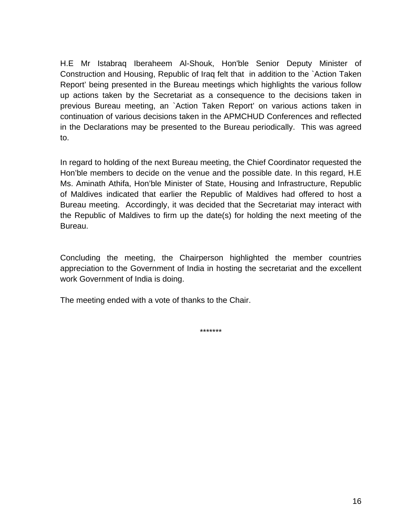H.E Mr Istabraq Iberaheem Al-Shouk, Hon'ble Senior Deputy Minister of Construction and Housing, Republic of Iraq felt that in addition to the `Action Taken Report' being presented in the Bureau meetings which highlights the various follow up actions taken by the Secretariat as a consequence to the decisions taken in previous Bureau meeting, an `Action Taken Report' on various actions taken in continuation of various decisions taken in the APMCHUD Conferences and reflected in the Declarations may be presented to the Bureau periodically. This was agreed to.

In regard to holding of the next Bureau meeting, the Chief Coordinator requested the Hon'ble members to decide on the venue and the possible date. In this regard, H.E Ms. Aminath Athifa, Hon'ble Minister of State, Housing and Infrastructure, Republic of Maldives indicated that earlier the Republic of Maldives had offered to host a Bureau meeting. Accordingly, it was decided that the Secretariat may interact with the Republic of Maldives to firm up the date(s) for holding the next meeting of the Bureau.

Concluding the meeting, the Chairperson highlighted the member countries appreciation to the Government of India in hosting the secretariat and the excellent work Government of India is doing.

The meeting ended with a vote of thanks to the Chair.

\*\*\*\*\*\*\*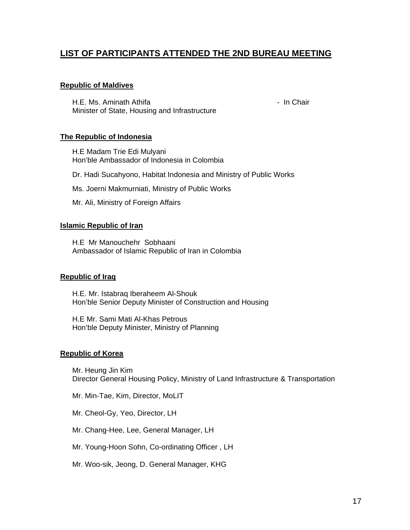# **LIST OF PARTICIPANTS ATTENDED THE 2ND BUREAU MEETING**

#### **Republic of Maldives**

H.E. Ms. Aminath Athifa - In Chair - In Chair Minister of State, Housing and Infrastructure

#### **The Republic of Indonesia**

H.E Madam Trie Edi Mulyani Hon'ble Ambassador of Indonesia in Colombia

Dr. Hadi Sucahyono, Habitat Indonesia and Ministry of Public Works

Ms. Joerni Makmurniati, Ministry of Public Works

Mr. Ali, Ministry of Foreign Affairs

#### **Islamic Republic of Iran**

H.E Mr Manouchehr Sobhaani Ambassador of Islamic Republic of Iran in Colombia

#### **Republic of Iraq**

H.E. Mr. Istabraq Iberaheem Al-Shouk Hon'ble Senior Deputy Minister of Construction and Housing

H.E Mr. Sami Mati Al-Khas Petrous Hon'ble Deputy Minister, Ministry of Planning

#### **Republic of Korea**

Mr. Heung Jin Kim Director General Housing Policy, Ministry of Land Infrastructure & Transportation

Mr. Min-Tae, Kim, Director, MoLIT

Mr. Cheol-Gy, Yeo, Director, LH

Mr. Chang-Hee, Lee, General Manager, LH

Mr. Young-Hoon Sohn, Co-ordinating Officer , LH

Mr. Woo-sik, Jeong, D. General Manager, KHG